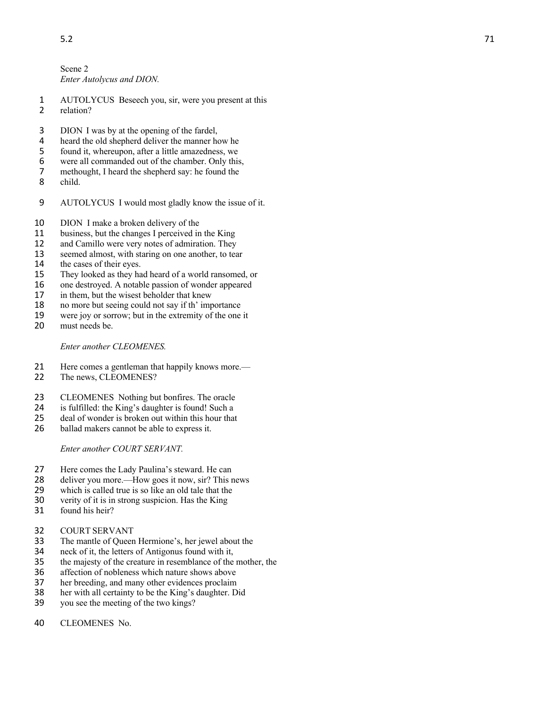Scene 2 *Enter Autolycus and DION.*

- AUTOLYCUS Beseech you, sir, were you present at this relation?
- DION I was by at the opening of the fardel,
- 4 heard the old shepherd deliver the manner how he<br>5 found it, whereupon, after a little amazedness, we
- 5 found it, whereupon, after a little amazedness, we<br>6 were all commanded out of the chamber. Only this
- 6 were all commanded out of the chamber. Only this,<br>7 methought, I heard the shepherd say: he found the
- methought, I heard the shepherd say: he found the
- child.
- AUTOLYCUS I would most gladly know the issue of it.
- DION I make a broken delivery of the
- business, but the changes I perceived in the King
- and Camillo were very notes of admiration. They
- seemed almost, with staring on one another, to tear
- $\frac{14}{15}$ the cases of their eyes.
- They looked as they had heard of a world ransomed, or
- one destroyed. A notable passion of wonder appeared
- 17 in them, but the wisest beholder that knew<br>18 no more but seeing could not say if th' imp
- no more but seeing could not say if th' importance
- were joy or sorrow; but in the extremity of the one it
- must needs be.

*Enter another CLEOMENES.*

- Here comes a gentleman that happily knows more. —
- The news, CLEOMENES ?
- CLEOMENES Nothing but bonfires. The oracle
- is fulfilled: the King's daughter is found! Such a
- 25 deal of wonder is broken out within this hour that<br>26 ballad makers cannot be able to express it.
- ballad makers cannot be able to express it.

*Enter another COURT SERVANT.*

- Here comes the Lady Paulina's steward. He can
- deliver you more. —How goes it now, sir? This news
- 29 which is called true is so like an old tale that the  $\frac{30}{20}$  verity of it is in strong suspicion. Has the King
- verity of it is in strong suspicion. Has the King
- found his heir?
- COUR T SERVANT
- The mantle of Queen Hermione's, her jewel about the
- neck of it, the letters of Antigonus found with it,
- the majesty of the creature in resemblance of the mother, the
- affection of nobleness which nature shows above
- her breeding, and many other evidences proclaim
- her with all certainty to be the King's daughter. Did
- you see the meeting of the two kings?
- CLEOMENES No.